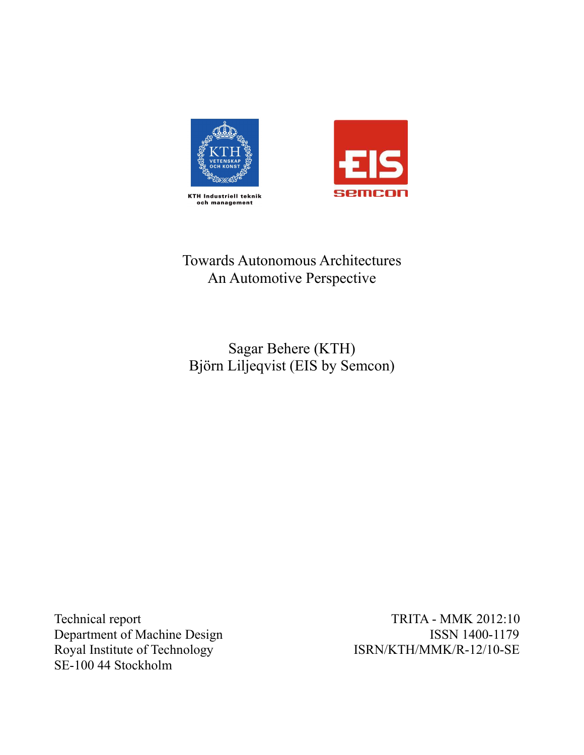



# Towards Autonomous Architectures An Automotive Perspective

Sagar Behere (KTH) Björn Liljeqvist (EIS by Semcon)

Technical report Department of Machine Design and TSSN 1400-1179 Royal Institute of Technolo SE-100 44 Stockholm

TRITA - MMK 2012:10<br>ISSN 1400-1179 ISRN/KTH/MMK/R-12/10-SE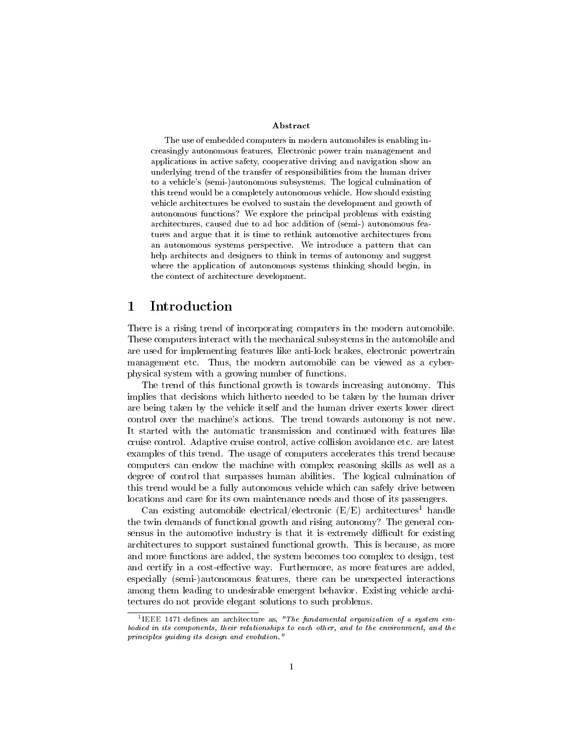#### Abstract

The use of embedded computers in modern automobiles is enabling increasingly autonomous features. Electronic power train management and applications in active safety, cooperative driving and navigation show an underlying trend of the transfer of responsibilities from the human driver to a vehicle's (semi-)autonomous subsystems. The logical culmination of this trend would be a completely autonomous vehicle. How should existing vehicle architectures be evolved to sustain the development and growth of autonomous functions? We explore the principal problems with existing architectures, caused due to ad hoc addition of (semi-) autonomous features and argue that it is time to rethink automotive architectures from an autonomous systems perspective. We introduce a pattern that can help architects and designers to think in terms of autonomy and suggest where the application of autonomous systems thinking should begin, in the context of architecture development.

# 1 Introduction

There is a rising trend of incorporating computers in the modern automobile. These computers interact with the mechanical subsystems in the automobile and are used for implementing features like anti-lock brakes, electronic powertrain management etc. Thus, the modern automobile can be viewed as a cyberphysical system with a growing number of functions.

The trend of this functional growth is towards increasing autonomy. This implies that decisions which hitherto needed to be taken by the human driver are being taken by the vehicle itself and the human driver exerts lower direct control over the machine's actions. The trend towards autonomy is not new. It started with the automatic transmission and continued with features like cruise control. Adaptive cruise control, active collision avoidance etc. are latest examples of this trend. The usage of computers accelerates this trend because computers can endow the machine with complex reasoning skills as well as a degree of control that surpasses human abilities. The logical culmination of this trend would be a fully autonomous vehicle which can safely drive between locations and care for its own maintenance needs and those of its passengers.

Can existing automobile electrical/electronic  $(E/E)$  architectures<sup>1</sup> handle the twin demands of functional growth and rising autonomy? The general consensus in the automotive industry is that it is extremely difficult for existing architectures to support sustained functional growth. This is because, as more and more functions are added, the system becomes too complex to design, test and certify in a cost-effective way. Furthermore, as more features are added, especially (semi-)autonomous features, there can be unexpected interactions among them leading to undesirable emergent behavior. Existing vehicle architectures do not provide elegant solutions to such problems.

<sup>&</sup>lt;sup>1</sup>IEEE 1471 defines an architecture as, "The fundamental organization of a system embodied in its components, their relationships to each other, and to the environment, and the principles guiding its design and evolution."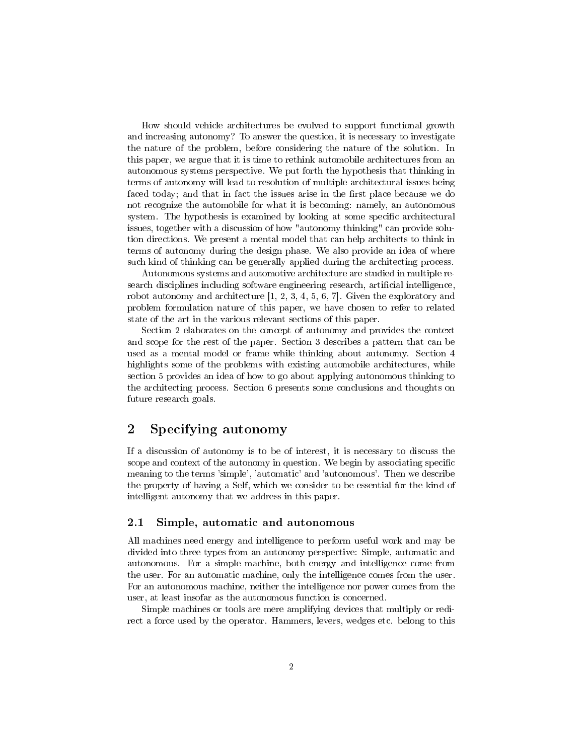How should vehicle architectures be evolved to support functional growth and increasing autonomy? To answer the question, it is necessary to investigate the nature of the problem, before considering the nature of the solution. In this paper, we argue that it is time to rethink automobile architectures from an autonomous systems perspective. We put forth the hypothesis that thinking in terms of autonomy will lead to resolution of multiple architectural issues being faced today; and that in fact the issues arise in the first place because we do not recognize the automobile for what it is becoming: namely, an autonomous system. The hypothesis is examined by looking at some specific architectural issues, together with a discussion of how "autonomy thinking" can provide solution directions. We present a mental model that can help architects to think in terms of autonomy during the design phase. We also provide an idea of where such kind of thinking can be generally applied during the architecting process.

Autonomous systems and automotive architecture are studied in multiple research disciplines including software engineering research, artificial intelligence, robot autonomy and architecture  $[1, 2, 3, 4, 5, 6, 7]$ . Given the exploratory and problem formulation nature of this paper, we have chosen to refer to related state of the art in the various relevant sections of this paper.

Section 2 elaborates on the concept of autonomy and provides the context and scope for the rest of the paper. Section 3 describes a pattern that can be used as a mental model or frame while thinking about autonomy. Section 4 highlights some of the problems with existing automobile architectures, while section 5 provides an idea of how to go about applying autonomous thinking to the architecting process. Section 6 presents some conclusions and thoughts on future research goals.

# 2 Specifying autonomy

If a discussion of autonomy is to be of interest, it is necessary to discuss the scope and context of the autonomy in question. We begin by associating specific meaning to the terms 'simple', 'automatic' and 'autonomous'. Then we describe the property of having a Self, which we consider to be essential for the kind of intelligent autonomy that we address in this paper.

#### 2.1 Simple, automatic and autonomous

All machines need energy and intelligence to perform useful work and may be divided into three types from an autonomy perspective: Simple, automatic and autonomous. For a simple machine, both energy and intelligence come from the user. For an automatic machine, only the intelligence comes from the user. For an autonomous machine, neither the intelligence nor power comes from the user, at least insofar as the autonomous function is concerned.

Simple machines or tools are mere amplifying devices that multiply or redirect a force used by the operator. Hammers, levers, wedges etc. belong to this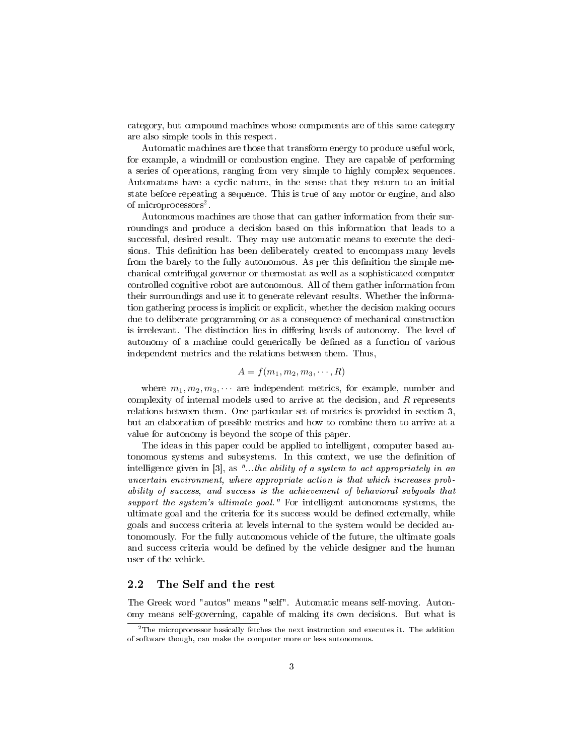category, but compound machines whose components are of this same category are also simple tools in this respect.

Automatic machines are those that transform energy to produce useful work, for example, a windmill or combustion engine. They are capable of performing a series of operations, ranging from very simple to highly complex sequences. Automatons have a cyclic nature, in the sense that they return to an initial state before repeating a sequence. This is true of any motor or engine, and also of microprocessors<sup>2</sup>.

Autonomous machines are those that can gather information from their surroundings and produce a decision based on this information that leads to a successful, desired result. They may use automatic means to execute the decisions. This definition has been deliberately created to encompass many levels from the barely to the fully autonomous. As per this definition the simple mechanical centrifugal governor or thermostat as well as a sophisticated computer controlled cognitive robot are autonomous. All of them gather information from their surroundings and use it to generate relevant results. Whether the information gathering process is implicit or explicit, whether the decision making occurs due to deliberate programming or as a consequence of mechanical construction is irrelevant. The distinction lies in differing levels of autonomy. The level of autonomy of a machine could generically be dened as a function of various independent metrics and the relations between them. Thus,

### $A = f(m_1, m_2, m_3, \cdots, R)$

where  $m_1, m_2, m_3, \cdots$  are independent metrics, for example, number and complexity of internal models used to arrive at the decision, and  $R$  represents relations between them. One particular set of metrics is provided in section 3, but an elaboration of possible metrics and how to combine them to arrive at a value for autonomy is beyond the scope of this paper.

The ideas in this paper could be applied to intelligent, computer based autonomous systems and subsystems. In this context, we use the denition of intelligence given in [3], as "...the ability of a system to act appropriately in an uncertain environment, where appropriate action is that which increases probability of success, and success is the achievement of behavioral subgoals that support the system's ultimate goal." For intelligent autonomous systems, the ultimate goal and the criteria for its success would be defined externally, while goals and success criteria at levels internal to the system would be decided autonomously. For the fully autonomous vehicle of the future, the ultimate goals and success criteria would be defined by the vehicle designer and the human user of the vehicle.

#### 2.2 The Self and the rest

The Greek word "autos" means "self". Automatic means self-moving. Autonomy means self-governing, capable of making its own decisions. But what is

 $2$ The microprocessor basically fetches the next instruction and executes it. The addition of software though, can make the computer more or less autonomous.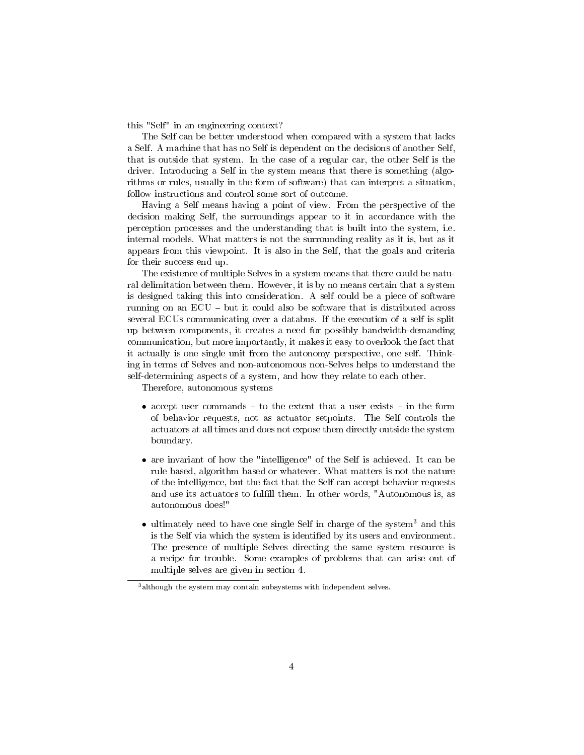this "Self" in an engineering context?

The Self can be better understood when compared with a system that lacks a Self. A machine that has no Self is dependent on the decisions of another Self, that is outside that system. In the case of a regular car, the other Self is the driver. Introducing a Self in the system means that there is something (algorithms or rules, usually in the form of software) that can interpret a situation, follow instructions and control some sort of outcome.

Having a Self means having a point of view. From the perspective of the decision making Self, the surroundings appear to it in accordance with the perception processes and the understanding that is built into the system, i.e. internal models. What matters is not the surrounding reality as it is, but as it appears from this viewpoint. It is also in the Self, that the goals and criteria for their success end up.

The existence of multiple Selves in a system means that there could be natural delimitation between them. However, it is by no means certain that a system is designed taking this into consideration. A self could be a piece of software running on an  $ECU - but$  it could also be software that is distributed across several ECUs communicating over a databus. If the execution of a self is split up between components, it creates a need for possibly bandwidth-demanding communication, but more importantly, it makes it easy to overlook the fact that it actually is one single unit from the autonomy perspective, one self. Thinking in terms of Selves and non-autonomous non-Selves helps to understand the self-determining aspects of a system, and how they relate to each other.

Therefore, autonomous systems

- accept user commands  $-$  to the extent that a user exists  $-$  in the form of behavior requests, not as actuator setpoints. The Self controls the actuators at all times and does not expose them directly outside the system boundary.
- are invariant of how the "intelligence" of the Self is achieved. It can be rule based, algorithm based or whatever. What matters is not the nature of the intelligence, but the fact that the Self can accept behavior requests and use its actuators to fulfill them. In other words, "Autonomous is, as autonomous does!"
- ultimately need to have one single Self in charge of the system<sup>3</sup> and this is the Self via which the system is identified by its users and environment. The presence of multiple Selves directing the same system resource is a recipe for trouble. Some examples of problems that can arise out of multiple selves are given in section 4.

<sup>3</sup>although the system may contain subsystems with independent selves.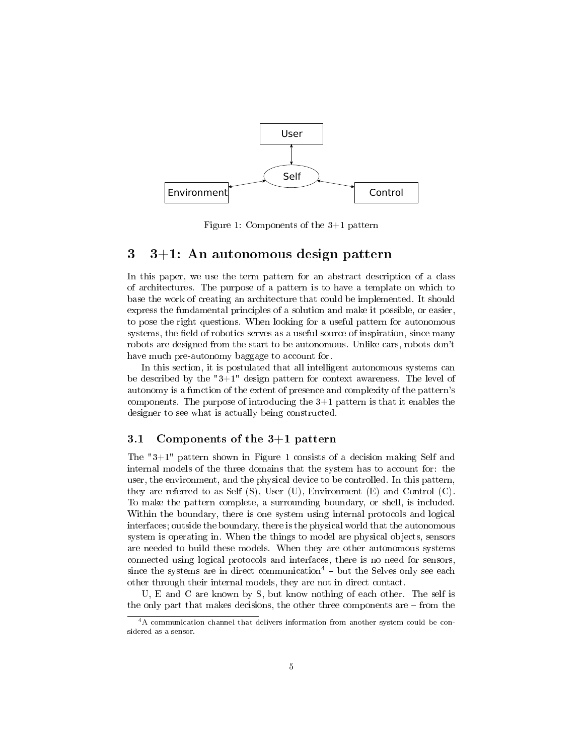

Figure 1: Components of the 3+1 pattern

### 3 3+1: An autonomous design pattern

In this paper, we use the term pattern for an abstract description of a class of architectures. The purpose of a pattern is to have a template on which to base the work of creating an architecture that could be implemented. It should express the fundamental principles of a solution and make it possible, or easier, to pose the right questions. When looking for a useful pattern for autonomous systems, the field of robotics serves as a useful source of inspiration, since many robots are designed from the start to be autonomous. Unlike cars, robots don't have much pre-autonomy baggage to account for.

In this section, it is postulated that all intelligent autonomous systems can be described by the  $"3+1"$  design pattern for context awareness. The level of autonomy is a function of the extent of presence and complexity of the pattern's components. The purpose of introducing the 3+1 pattern is that it enables the designer to see what is actually being constructed.

#### 3.1 Components of the 3+1 pattern

The "3+1" pattern shown in Figure 1 consists of a decision making Self and internal models of the three domains that the system has to account for: the user, the environment, and the physical device to be controlled. In this pattern, they are referred to as Self  $(S)$ , User  $(U)$ , Environment  $(E)$  and Control  $(C)$ . To make the pattern complete, a surrounding boundary, or shell, is included. Within the boundary, there is one system using internal protocols and logical interfaces; outside the boundary, there is the physical world that the autonomous system is operating in. When the things to model are physical objects, sensors are needed to build these models. When they are other autonomous systems connected using logical protocols and interfaces, there is no need for sensors, since the systems are in direct communication<sup>4</sup>  $-$  but the Selves only see each other through their internal models, they are not in direct contact.

U, E and C are known by S, but know nothing of each other. The self is the only part that makes decisions, the other three components are  $-$  from the

<sup>4</sup>A communication channel that delivers information from another system could be considered as a sensor.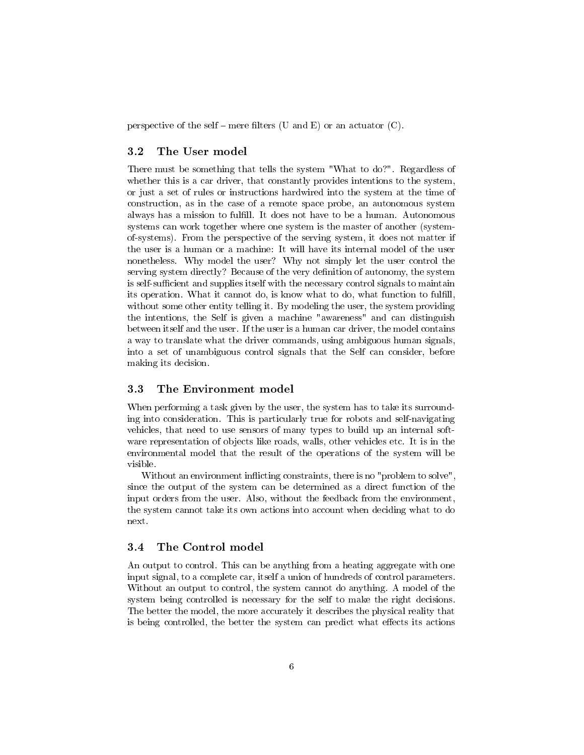perspective of the self – mere filters (U and E) or an actuator  $(C)$ .

### 3.2 The User model

There must be something that tells the system "What to do?". Regardless of whether this is a car driver, that constantly provides intentions to the system, or just a set of rules or instructions hardwired into the system at the time of construction, as in the case of a remote space probe, an autonomous system always has a mission to fulfill. It does not have to be a human. Autonomous systems can work together where one system is the master of another (systemof-systems). From the perspective of the serving system, it does not matter if the user is a human or a machine: It will have its internal model of the user nonetheless. Why model the user? Why not simply let the user control the serving system directly? Because of the very definition of autonomy, the system is self-sufficient and supplies itself with the necessary control signals to maintain its operation. What it cannot do, is know what to do, what function to fulll, without some other entity telling it. By modeling the user, the system providing the intentions, the Self is given a machine "awareness" and can distinguish between itself and the user. If the user is a human car driver, the model contains a way to translate what the driver commands, using ambiguous human signals, into a set of unambiguous control signals that the Self can consider, before making its decision.

#### 3.3 The Environment model

When performing a task given by the user, the system has to take its surrounding into consideration. This is particularly true for robots and self-navigating vehicles, that need to use sensors of many types to build up an internal software representation of objects like roads, walls, other vehicles etc. It is in the environmental model that the result of the operations of the system will be visible.

Without an environment inflicting constraints, there is no "problem to solve", since the output of the system can be determined as a direct function of the input orders from the user. Also, without the feedback from the environment, the system cannot take its own actions into account when deciding what to do next.

#### 3.4 The Control model

An output to control. This can be anything from a heating aggregate with one input signal, to a complete car, itself a union of hundreds of control parameters. Without an output to control, the system cannot do anything. A model of the system being controlled is necessary for the self to make the right decisions. The better the model, the more accurately it describes the physical reality that is being controlled, the better the system can predict what effects its actions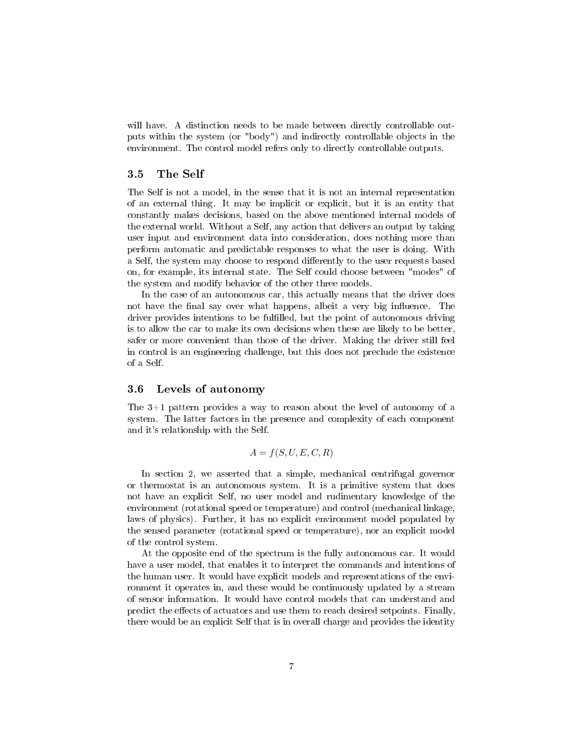will have. A distinction needs to be made between directly controllable outputs within the system (or "body") and indirectly controllable objects in the environment. The control model refers only to directly controllable outputs.

### 3.5 The Self

The Self is not a model, in the sense that it is not an internal representation of an external thing. It may be implicit or explicit, but it is an entity that constantly makes decisions, based on the above mentioned internal models of the external world. Without a Self, any action that delivers an output by taking user input and environment data into consideration, does nothing more than perform automatic and predictable responses to what the user is doing. With a Self, the system may choose to respond differently to the user requests based on, for example, its internal state. The Self could choose between "modes" of the system and modify behavior of the other three models.

In the case of an autonomous car, this actually means that the driver does not have the final say over what happens, albeit a very big influence. The driver provides intentions to be fulfilled, but the point of autonomous driving is to allow the car to make its own decisions when these are likely to be better, safer or more convenient than those of the driver. Making the driver still feel in control is an engineering challenge, but this does not preclude the existence of a Self.

#### 3.6 Levels of autonomy

The 3+1 pattern provides a way to reason about the level of autonomy of a system. The latter factors in the presence and complexity of each component and it's relationship with the Self.

$$
A = f(S, U, E, C, R)
$$

In section 2, we asserted that a simple, mechanical centrifugal governor or thermostat is an autonomous system. It is a primitive system that does not have an explicit Self, no user model and rudimentary knowledge of the environment (rotational speed or temperature) and control (mechanical linkage, laws of physics). Further, it has no explicit environment model populated by the sensed parameter (rotational speed or temperature), nor an explicit model of the control system.

At the opposite end of the spectrum is the fully autonomous car. It would have a user model, that enables it to interpret the commands and intentions of the human user. It would have explicit models and representations of the environment it operates in, and these would be continuously updated by a stream of sensor information. It would have control models that can understand and predict the effects of actuators and use them to reach desired setpoints. Finally, there would be an explicit Self that is in overall charge and provides the identity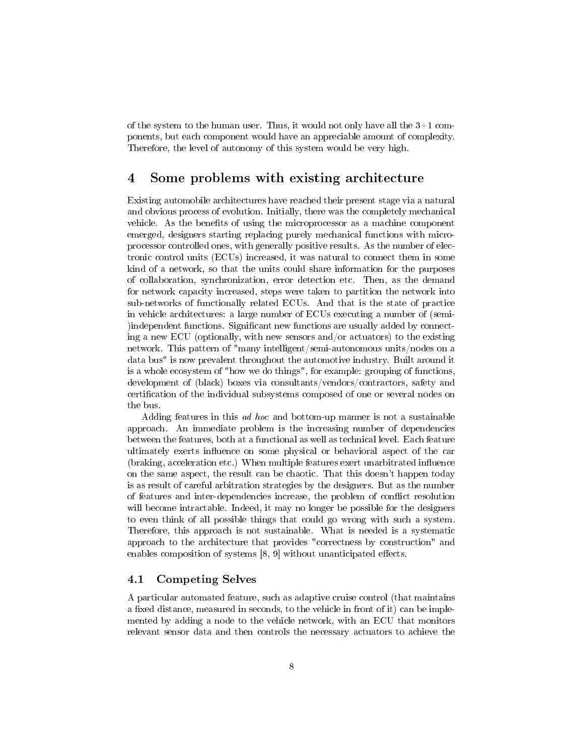of the system to the human user. Thus, it would not only have all the  $3+1$  components, but each component would have an appreciable amount of complexity. Therefore, the level of autonomy of this system would be very high.

# 4 Some problems with existing architecture

Existing automobile architectures have reached their present stage via a natural and obvious process of evolution. Initially, there was the completely mechanical vehicle. As the benefits of using the microprocessor as a machine component emerged, designers starting replacing purely mechanical functions with microprocessor controlled ones, with generally positive results. As the number of electronic control units (ECUs) increased, it was natural to connect them in some kind of a network, so that the units could share information for the purposes of collaboration, synchronization, error detection etc. Then, as the demand for network capacity increased, steps were taken to partition the network into sub-networks of functionally related ECUs. And that is the state of practice in vehicle architectures: a large number of ECUs executing a number of (semi- )independent functions. Significant new functions are usually added by connecting a new ECU (optionally, with new sensors and/or actuators) to the existing network. This pattern of "many intelligent/semi-autonomous units/nodes on a data bus" is now prevalent throughout the automotive industry. Built around it is a whole ecosystem of "how we do things", for example: grouping of functions, development of (black) boxes via consultants/vendors/contractors, safety and certification of the individual subsystems composed of one or several nodes on the bus.

Adding features in this ad hoc and bottom-up manner is not a sustainable approach. An immediate problem is the increasing number of dependencies between the features, both at a functional as well as technical level. Each feature ultimately exerts influence on some physical or behavioral aspect of the car (braking, acceleration etc.) When multiple features exert unarbitrated influence on the same aspect, the result can be chaotic. That this doesn't happen today is as result of careful arbitration strategies by the designers. But as the number of features and inter-dependencies increase, the problem of conflict resolution will become intractable. Indeed, it may no longer be possible for the designers to even think of all possible things that could go wrong with such a system. Therefore, this approach is not sustainable. What is needed is a systematic approach to the architecture that provides "correctness by construction" and enables composition of systems  $[8, 9]$  without unanticipated effects.

### 4.1 Competing Selves

A particular automated feature, such as adaptive cruise control (that maintains a fixed distance, measured in seconds, to the vehicle in front of it) can be implemented by adding a node to the vehicle network, with an ECU that monitors relevant sensor data and then controls the necessary actuators to achieve the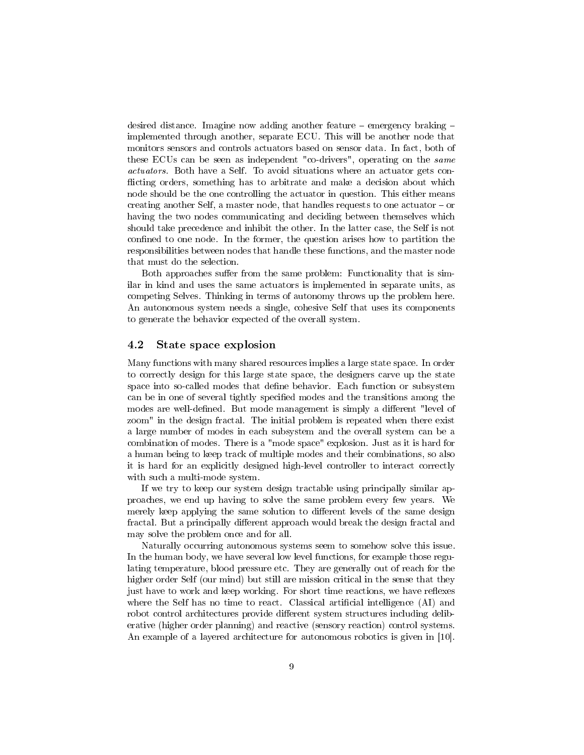desired distance. Imagine now adding another feature  $-$  emergency braking  $$ implemented through another, separate ECU. This will be another node that monitors sensors and controls actuators based on sensor data. In fact, both of these ECUs can be seen as independent "co-drivers", operating on the same actuators. Both have a Self. To avoid situations where an actuator gets con flicting orders, something has to arbitrate and make a decision about which node should be the one controlling the actuator in question. This either means creating another Self, a master node, that handles requests to one actuator  $-\text{ or }$ having the two nodes communicating and deciding between themselves which should take precedence and inhibit the other. In the latter case, the Self is not confined to one node. In the former, the question arises how to partition the responsibilities between nodes that handle these functions, and the master node that must do the selection.

Both approaches suffer from the same problem: Functionality that is similar in kind and uses the same actuators is implemented in separate units, as competing Selves. Thinking in terms of autonomy throws up the problem here. An autonomous system needs a single, cohesive Self that uses its components to generate the behavior expected of the overall system.

#### 4.2 State space explosion

Many functions with many shared resources implies a large state space. In order to correctly design for this large state space, the designers carve up the state space into so-called modes that define behavior. Each function or subsystem can be in one of several tightly specified modes and the transitions among the modes are well-defined. But mode management is simply a different "level of zoom" in the design fractal. The initial problem is repeated when there exist a large number of modes in each subsystem and the overall system can be a combination of modes. There is a "mode space" explosion. Just as it is hard for a human being to keep track of multiple modes and their combinations, so also it is hard for an explicitly designed high-level controller to interact correctly with such a multi-mode system.

If we try to keep our system design tractable using principally similar approaches, we end up having to solve the same problem every few years. We merely keep applying the same solution to different levels of the same design fractal. But a principally different approach would break the design fractal and may solve the problem once and for all.

Naturally occurring autonomous systems seem to somehow solve this issue. In the human body, we have several low level functions, for example those regulating temperature, blood pressure etc. They are generally out of reach for the higher order Self (our mind) but still are mission critical in the sense that they just have to work and keep working. For short time reactions, we have reflexes where the Self has no time to react. Classical artificial intelligence (AI) and robot control architectures provide different system structures including deliberative (higher order planning) and reactive (sensory reaction) control systems. An example of a layered architecture for autonomous robotics is given in [10].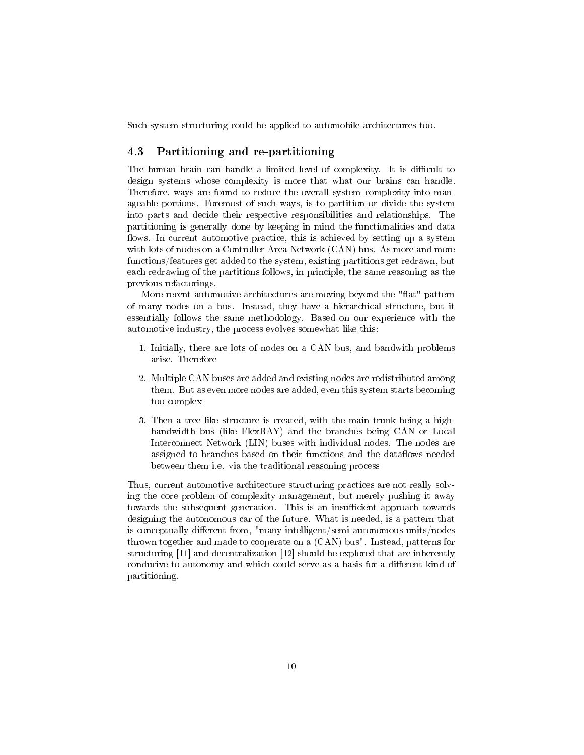Such system structuring could be applied to automobile architectures too.

### 4.3 Partitioning and re-partitioning

The human brain can handle a limited level of complexity. It is difficult to design systems whose complexity is more that what our brains can handle. Therefore, ways are found to reduce the overall system complexity into manageable portions. Foremost of such ways, is to partition or divide the system into parts and decide their respective responsibilities and relationships. The partitioning is generally done by keeping in mind the functionalities and data flows. In current automotive practice, this is achieved by setting up a system with lots of nodes on a Controller Area Network (CAN) bus. As more and more functions/features get added to the system, existing partitions get redrawn, but each redrawing of the partitions follows, in principle, the same reasoning as the previous refactorings.

More recent automotive architectures are moving beyond the "flat" pattern of many nodes on a bus. Instead, they have a hierarchical structure, but it essentially follows the same methodology. Based on our experience with the automotive industry, the process evolves somewhat like this:

- 1. Initially, there are lots of nodes on a CAN bus, and bandwith problems arise. Therefore
- 2. Multiple CAN buses are added and existing nodes are redistributed among them. But as even more nodes are added, even this system starts becoming too complex
- 3. Then a tree like structure is created, with the main trunk being a highbandwidth bus (like FlexRAY) and the branches being CAN or Local Interconnect Network (LIN) buses with individual nodes. The nodes are assigned to branches based on their functions and the dataflows needed between them i.e. via the traditional reasoning process

Thus, current automotive architecture structuring practices are not really solving the core problem of complexity management, but merely pushing it away towards the subsequent generation. This is an insufficient approach towards designing the autonomous car of the future. What is needed, is a pattern that is conceptually different from, "many intelligent/semi-autonomous units/nodes thrown together and made to cooperate on a (CAN) bus". Instead, patterns for structuring [11] and decentralization [12] should be explored that are inherently conducive to autonomy and which could serve as a basis for a different kind of partitioning.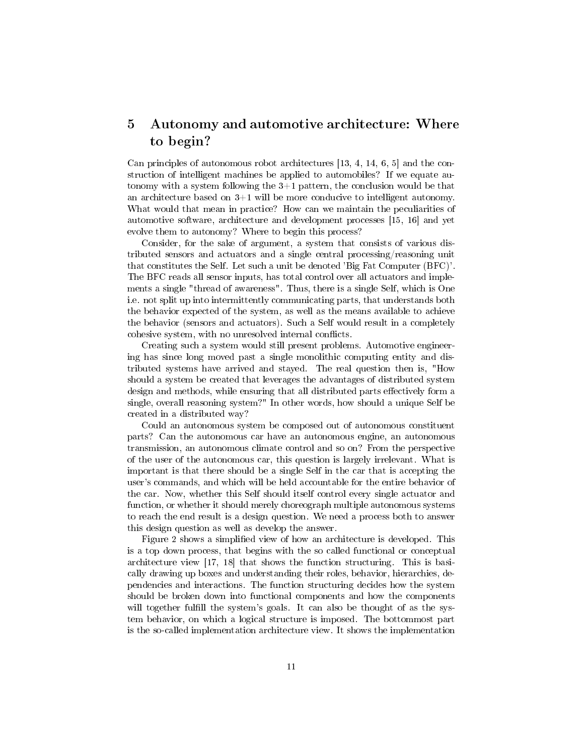# 5 Autonomy and automotive architecture: Where to begin?

Can principles of autonomous robot architectures [13, 4, 14, 6, 5] and the construction of intelligent machines be applied to automobiles? If we equate autonomy with a system following the  $3+1$  pattern, the conclusion would be that an architecture based on 3+1 will be more conducive to intelligent autonomy. What would that mean in practice? How can we maintain the peculiarities of automotive software, architecture and development processes [15, 16] and yet evolve them to autonomy? Where to begin this process?

Consider, for the sake of argument, a system that consists of various distributed sensors and actuators and a single central processing/reasoning unit that constitutes the Self. Let such a unit be denoted 'Big Fat Computer (BFC)'. The BFC reads all sensor inputs, has total control over all actuators and implements a single "thread of awareness". Thus, there is a single Self, which is One i.e. not split up into intermittently communicating parts, that understands both the behavior expected of the system, as well as the means available to achieve the behavior (sensors and actuators). Such a Self would result in a completely cohesive system, with no unresolved internal conflicts.

Creating such a system would still present problems. Automotive engineering has since long moved past a single monolithic computing entity and distributed systems have arrived and stayed. The real question then is, "How should a system be created that leverages the advantages of distributed system design and methods, while ensuring that all distributed parts effectively form a single, overall reasoning system?" In other words, how should a unique Self be created in a distributed way?

Could an autonomous system be composed out of autonomous constituent parts? Can the autonomous car have an autonomous engine, an autonomous transmission, an autonomous climate control and so on? From the perspective of the user of the autonomous car, this question is largely irrelevant. What is important is that there should be a single Self in the car that is accepting the user's commands, and which will be held accountable for the entire behavior of the car. Now, whether this Self should itself control every single actuator and function, or whether it should merely choreograph multiple autonomous systems to reach the end result is a design question. We need a process both to answer this design question as well as develop the answer.

Figure 2 shows a simplied view of how an architecture is developed. This is a top down process, that begins with the so called functional or conceptual architecture view [17, 18] that shows the function structuring. This is basically drawing up boxes and understanding their roles, behavior, hierarchies, dependencies and interactions. The function structuring decides how the system should be broken down into functional components and how the components will together fulfill the system's goals. It can also be thought of as the system behavior, on which a logical structure is imposed. The bottommost part is the so-called implementation architecture view. It shows the implementation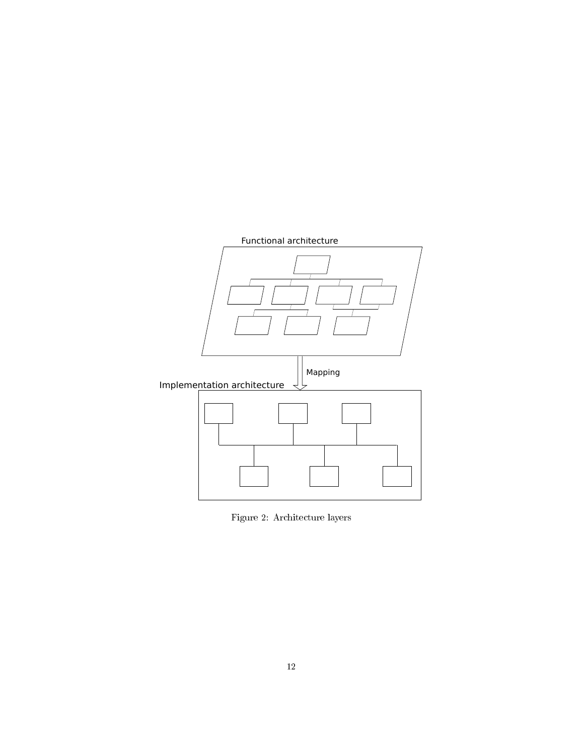

Figure 2: Architecture layers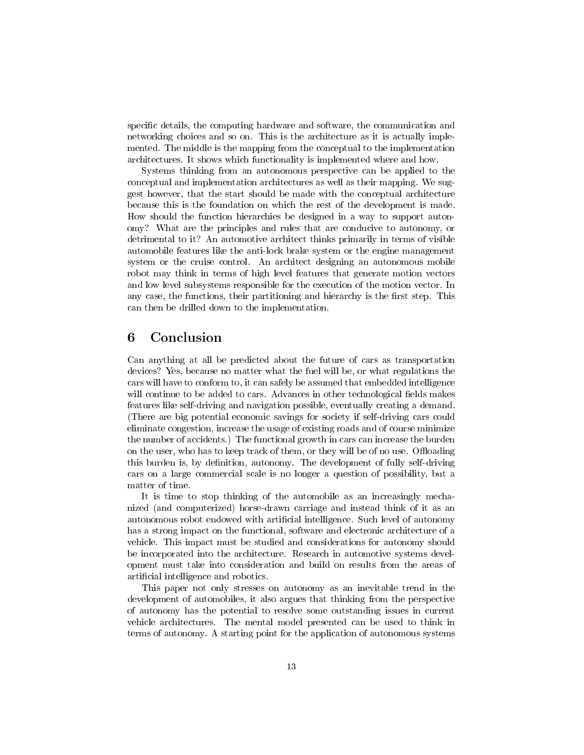specific details, the computing hardware and software, the communication and networking choices and so on. This is the architecture as it is actually implemented. The middle is the mapping from the conceptual to the implementation architectures. It shows which functionality is implemented where and how.

Systems thinking from an autonomous perspective can be applied to the conceptual and implementation architectures as well as their mapping. We suggest however, that the start should be made with the conceptual architecture because this is the foundation on which the rest of the development is made. How should the function hierarchies be designed in a way to support autonomy? What are the principles and rules that are conducive to autonomy, or detrimental to it? An automotive architect thinks primarily in terms of visible automobile features like the anti-lock brake system or the engine management system or the cruise control. An architect designing an autonomous mobile robot may think in terms of high level features that generate motion vectors and low level subsystems responsible for the execution of the motion vector. In any case, the functions, their partitioning and hierarchy is the first step. This can then be drilled down to the implementation.

# 6 Conclusion

Can anything at all be predicted about the future of cars as transportation devices? Yes, because no matter what the fuel will be, or what regulations the cars will have to conform to, it can safely be assumed that embedded intelligence will continue to be added to cars. Advances in other technological fields makes features like self-driving and navigation possible, eventually creating a demand. (There are big potential economic savings for society if self-driving cars could eliminate congestion, increase the usage of existing roads and of course minimize the number of accidents.) The functional growth in cars can increase the burden on the user, who has to keep track of them, or they will be of no use. Offloading this burden is, by definition, autonomy. The development of fully self-driving cars on a large commercial scale is no longer a question of possibility, but a matter of time.

It is time to stop thinking of the automobile as an increasingly mechanized (and computerized) horse-drawn carriage and instead think of it as an autonomous robot endowed with artificial intelligence. Such level of autonomy has a strong impact on the functional, software and electronic architecture of a vehicle. This impact must be studied and considerations for autonomy should be incorporated into the architecture. Research in automotive systems development must take into consideration and build on results from the areas of artificial intelligence and robotics.

This paper not only stresses on autonomy as an inevitable trend in the development of automobiles, it also argues that thinking from the perspective of autonomy has the potential to resolve some outstanding issues in current vehicle architectures. The mental model presented can be used to think in terms of autonomy. A starting point for the application of autonomous systems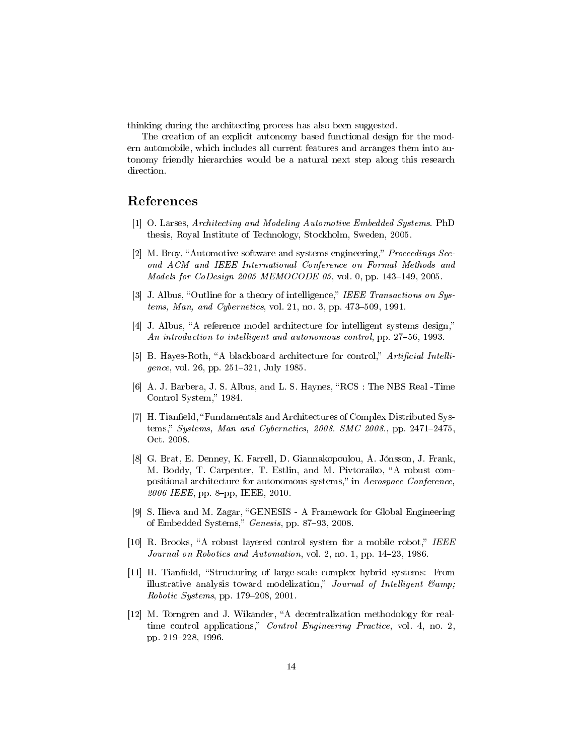thinking during the architecting process has also been suggested.

The creation of an explicit autonomy based functional design for the modern automobile, which includes all current features and arranges them into autonomy friendly hierarchies would be a natural next step along this research direction.

# References

- [1] O. Larses, Architecting and Modeling Automotive Embedded Systems. PhD thesis, Royal Institute of Technology, Stockholm, Sweden, 2005.
- [2] M. Broy, "Automotive software and systems engineering," *Proceedings Sec*ond ACM and IEEE International Conference on Formal Methods and Models for CoDesign 2005 MEMOCODE 05, vol. 0, pp. 143-149, 2005.
- [3] J. Albus, "Outline for a theory of intelligence," IEEE Transactions on Systems, Man, and Cybernetics, vol. 21, no. 3, pp.  $473-509$ , 1991.
- [4] J. Albus, "A reference model architecture for intelligent systems design," An introduction to intelligent and autonomous control, pp. 27–56, 1993.
- [5] B. Hayes-Roth, "A blackboard architecture for control," Artificial Intelligence, vol. 26, pp. 251-321, July 1985.
- [6] A. J. Barbera, J. S. Albus, and L. S. Haynes, "RCS: The NBS Real -Time Control System," 1984.
- [7] H. Tianfield, "Fundamentals and Architectures of Complex Distributed Systems," Systems, Man and Cybernetics, 2008. SMC 2008., pp. 2471-2475. Oct. 2008.
- [8] G. Brat, E. Denney, K. Farrell, D. Giannakopoulou, A. Jónsson, J. Frank, M. Boddy, T. Carpenter, T. Estlin, and M. Pivtoraiko, "A robust compositional architecture for autonomous systems," in Aerospace Conference, 2006 IEEE, pp. 8-pp, IEEE, 2010.
- [9] S. Ilieva and M. Zagar, "GENESIS A Framework for Global Engineering of Embedded Systems," Genesis, pp. 87-93, 2008.
- [10] R. Brooks, "A robust layered control system for a mobile robot," IEEE Journal on Robotics and Automation, vol. 2, no. 1, pp. 14-23, 1986.
- [11] H. Tianfield, "Structuring of large-scale complex hybrid systems: From illustrative analysis toward modelization," Journal of Intelligent  $\mathcal{C}amp$ , Robotic Systems, pp.  $179-208$ ,  $2001$ .
- [12] M. Torngren and J. Wikander, "A decentralization methodology for realtime control applications," *Control Engineering Practice*, vol. 4, no. 2, pp. 219228, 1996.